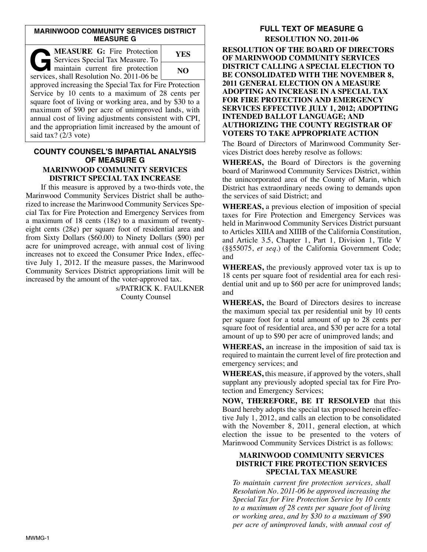#### **MARINWOOD COMMUNITY SERVICES DISTRICT MEASURE G**

| <b>MEASURE G:</b> Fire Protection<br>Services Special Tax Measure. To         | YES |
|-------------------------------------------------------------------------------|-----|
| maintain current fire protection<br>services, shall Resolution No. 2011-06 be | NO  |
| approved increasing the Special Tax for Fire Protection                       |     |
| Service by 10 cents to a maximum of 28 cents per                              |     |
| square foot of living or working area, and by \$30 to a                       |     |
| maximum of \$90 per acre of unimproved lands, with                            |     |
| annual cost of living adjustments consistent with CPI,                        |     |
| and the appropriation limit increased by the amount of                        |     |
| said tax? (2/3 vote)                                                          |     |

#### **COUNTY COUNSEL'S IMPARTIAL ANALYSIS OF MEASURE G MARINWOOD COMMUNITY SERVICES DISTRICT SPECIAL TAX INCREASE**

If this measure is approved by a two-thirds vote, the Marinwood Community Services District shall be authorized to increase the Marinwood Community Services Spe cial Tax for Fire Protection and Emergency Services from a maximum of 18 cents (18¢) to a maximum of twentyeight cents (28¢) per square foot of residential area and from Sixty Dollars (\$60.00) to Ninety Dollars (\$90) per acre for unimproved acreage, with annual cost of living increases not to exceed the Consumer Price Index, effective July 1, 2012. If the measure passes, the Marinwood Community Services District appropriations limit will be increased by the amount of the voter-approved tax.

> s/PATRICK K. FAULKNER County Counsel

# **FULL TEXT OF MEASURE G RESOLUTION NO. 2011-06**

**RESOLUTION OF THE BOARD OF DIRECTORS OF MARINWOOD COMMUNITY SERVICES DISTRICT CALLING A SPECIAL ELECTION TO BE CONSOLIDATED WITH THE NOVEMBER 8, 2011 GENERAL ELECTION ON A MEASURE ADOPTING AN INCREASE IN A SPECIAL TAX FOR FIRE PROTECTION AND EMERGENCY SERVICES EFFECTIVE JULY 1, 2012; ADOPTING INTENDED BALLOT LANGUAGE; AND AUTHORIZING THE COUNTY REGISTRAR OF VOTERS TO TAKE APPROPRIATE ACTION**

The Board of Directors of Marinwood Community Services District does hereby resolve as follows:

**WHEREAS,** the Board of Directors is the governing board of Marinwood Community Services District, within the unincorporated area of the County of Marin, which District has extraordinary needs owing to demands upon the services of said District; and

**WHEREAS,** a previous election of imposition of special taxes for Fire Protection and Emergency Services was held in Marinwood Community Services District pursuant to Articles XIIIA and XIIIB of the California Constitution, and Article 3.5, Chapter 1, Part 1, Division 1, Title V (§§55075, *et seq*.) of the California Government Code; and

**WHEREAS,** the previously approved voter tax is up to 18 cents per square foot of residential area for each residential unit and up to \$60 per acre for unimproved lands; and

**WHEREAS,** the Board of Directors desires to increase the maximum special tax per residential unit by 10 cents per square foot for a total amount of up to 28 cents per square foot of residential area, and \$30 per acre for a total amount of up to \$90 per acre of unimproved lands; and

**WHEREAS,** an increase in the imposition of said tax is required to maintain the current level of fire protection and emergency services; and

**WHEREAS,** this measure, if approved by the voters, shall supplant any previously adopted special tax for Fire Protection and Emergency Services;

**NOW, THEREFORE, BE IT RESOLVED** that this Board hereby adopts the special tax proposed herein effective July 1, 2012, and calls an election to be consolidated with the November 8, 2011, general election, at which election the issue to be presented to the voters of Marinwood Community Services District is as follows:

## **MARINWOOD COMMUNITY SERVICES DISTRICT FIRE PROTECTION SERVICES SPECIAL TAX MEASURE**

*To maintain current fire protection services, shall Resolu tion No. 2011-06 be approved increasing the Special Tax for Fire Protection Service by 10 cents to a maximum of 28 cents per square foot of living or working area, and by \$30 to a maximum of \$90 per acre of unimproved lands, with annual cost of*